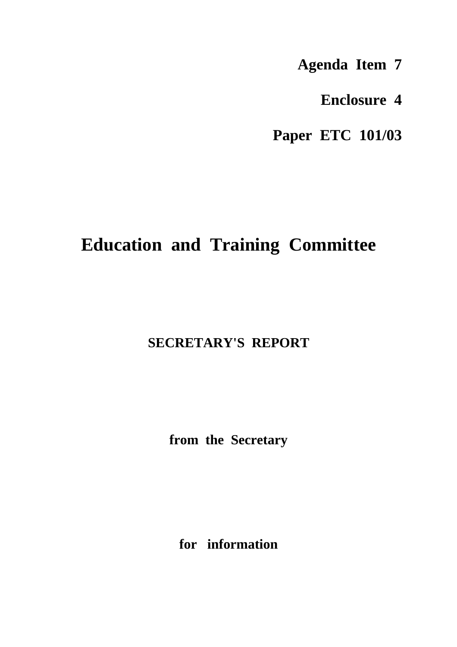**Agenda Item 7**

**Enclosure 4**

**Paper ETC 101/03**

## **Education and Training Committee**

## **SECRETARY'S REPORT**

**from the Secretary**

**for information**